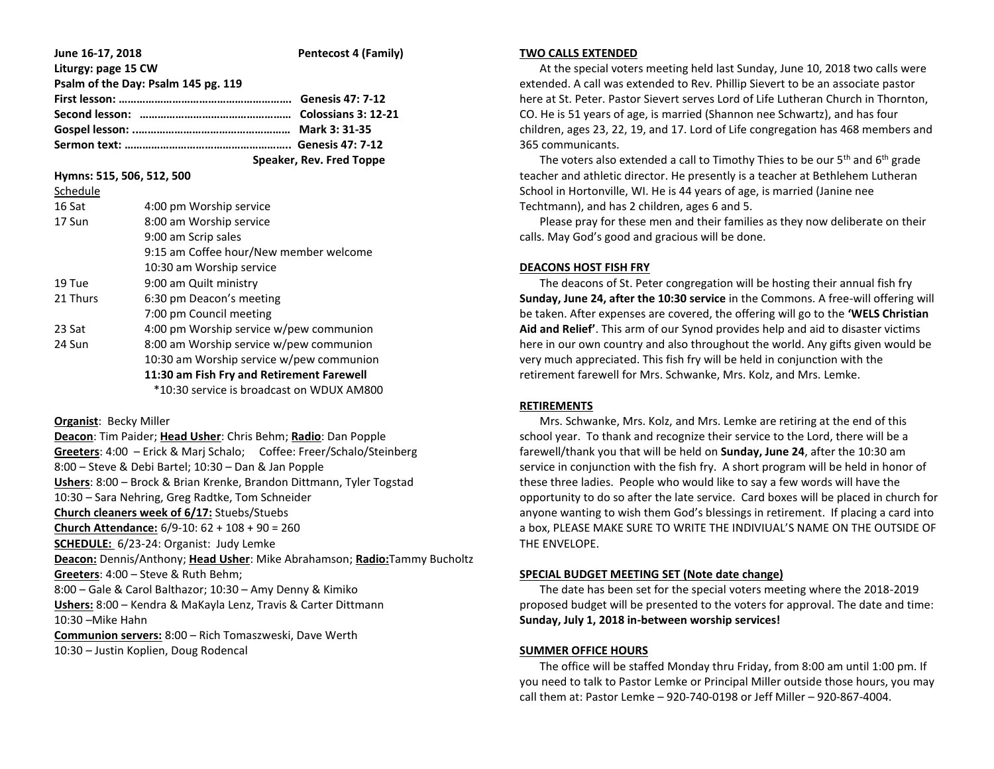| June 16-17, 2018                    | <b>Pentecost 4 (Family)</b> |
|-------------------------------------|-----------------------------|
| Liturgy: page 15 CW                 |                             |
| Psalm of the Day: Psalm 145 pg. 119 |                             |
|                                     |                             |
|                                     |                             |
|                                     |                             |
|                                     |                             |
|                                     | Speaker, Rev. Fred Toppe    |

**Hymns: 515, 506, 512, 500**

Schedule

| schedule |                                           |
|----------|-------------------------------------------|
| 16 Sat   | 4:00 pm Worship service                   |
| 17 Sun   | 8:00 am Worship service                   |
|          | 9:00 am Scrip sales                       |
|          | 9:15 am Coffee hour/New member welcome    |
|          | 10:30 am Worship service                  |
| 19 Tue   | 9:00 am Quilt ministry                    |
| 21 Thurs | 6:30 pm Deacon's meeting                  |
|          | 7:00 pm Council meeting                   |
| 23 Sat   | 4:00 pm Worship service w/pew communion   |
| 24 Sun   | 8:00 am Worship service w/pew communion   |
|          | 10:30 am Worship service w/pew communion  |
|          | 11:30 am Fish Fry and Retirement Farewell |
|          | *10:30 service is broadcast on WDUX AM800 |

**Organist**: Becky Miller

**Deacon**: Tim Paider; **Head Usher**: Chris Behm; **Radio**: Dan Popple **Greeters**: 4:00 – Erick & Marj Schalo; Coffee: Freer/Schalo/Steinberg 8:00 – Steve & Debi Bartel; 10:30 – Dan & Jan Popple **Ushers**: 8:00 – Brock & Brian Krenke, Brandon Dittmann, Tyler Togstad 10:30 – Sara Nehring, Greg Radtke, Tom Schneider **Church cleaners week of 6/17:** Stuebs/Stuebs **Church Attendance:** 6/9-10: 62 + 108 + 90 = 260 **SCHEDULE:** 6/23-24: Organist: Judy Lemke **Deacon:** Dennis/Anthony; **Head Usher**: Mike Abrahamson; **Radio:**Tammy Bucholtz **Greeters**: 4:00 – Steve & Ruth Behm; 8:00 – Gale & Carol Balthazor; 10:30 – Amy Denny & Kimiko **Ushers:** 8:00 – Kendra & MaKayla Lenz, Travis & Carter Dittmann 10:30 –Mike Hahn **Communion servers:** 8:00 – Rich Tomaszweski, Dave Werth

10:30 – Justin Koplien, Doug Rodencal

### **TWO CALLS EXTENDED**

 At the special voters meeting held last Sunday, June 10, 2018 two calls were extended. A call was extended to Rev. Phillip Sievert to be an associate pastor here at St. Peter. Pastor Sievert serves Lord of Life Lutheran Church in Thornton, CO. He is 51 years of age, is married (Shannon nee Schwartz), and has four children, ages 23, 22, 19, and 17. Lord of Life congregation has 468 members and 365 communicants.

The voters also extended a call to Timothy Thies to be our  $5<sup>th</sup>$  and  $6<sup>th</sup>$  grade teacher and athletic director. He presently is a teacher at Bethlehem Lutheran School in Hortonville, WI. He is 44 years of age, is married (Janine nee Techtmann), and has 2 children, ages 6 and 5.

 Please pray for these men and their families as they now deliberate on their calls. May God's good and gracious will be done.

## **DEACONS HOST FISH FRY**

 The deacons of St. Peter congregation will be hosting their annual fish fry **Sunday, June 24, after the 10:30 service** in the Commons. A free-will offering will be taken. After expenses are covered, the offering will go to the **'WELS Christian Aid and Relief'**. This arm of our Synod provides help and aid to disaster victims here in our own country and also throughout the world. Any gifts given would be very much appreciated. This fish fry will be held in conjunction with the retirement farewell for Mrs. Schwanke, Mrs. Kolz, and Mrs. Lemke.

### **RETIREMENTS**

 Mrs. Schwanke, Mrs. Kolz, and Mrs. Lemke are retiring at the end of this school year. To thank and recognize their service to the Lord, there will be a farewell/thank you that will be held on **Sunday, June 24**, after the 10:30 am service in conjunction with the fish fry. A short program will be held in honor of these three ladies. People who would like to say a few words will have the opportunity to do so after the late service. Card boxes will be placed in church for anyone wanting to wish them God's blessings in retirement. If placing a card into a box, PLEASE MAKE SURE TO WRITE THE INDIVIUAL'S NAME ON THE OUTSIDE OF THE ENVELOPE.

# **SPECIAL BUDGET MEETING SET (Note date change)**

 The date has been set for the special voters meeting where the 2018-2019 proposed budget will be presented to the voters for approval. The date and time: **Sunday, July 1, 2018 in-between worship services!**

# **SUMMER OFFICE HOURS**

 The office will be staffed Monday thru Friday, from 8:00 am until 1:00 pm. If you need to talk to Pastor Lemke or Principal Miller outside those hours, you may call them at: Pastor Lemke – 920-740-0198 or Jeff Miller – 920-867-4004.